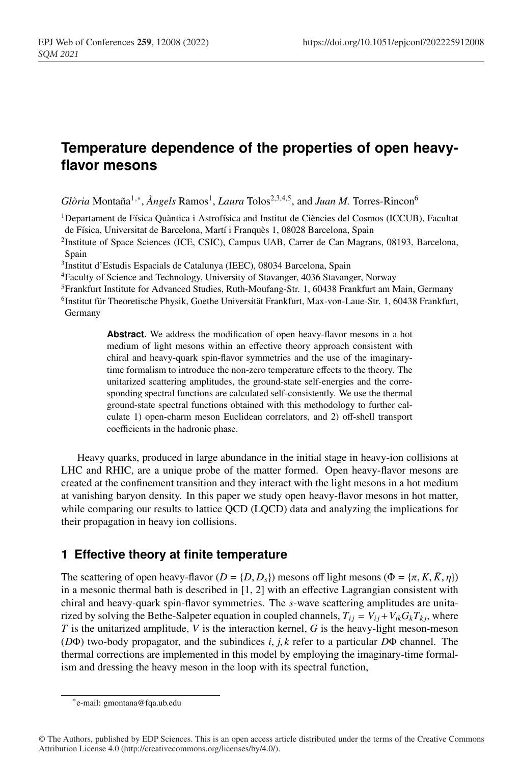# **Temperature dependence of the properties of open heavyflavor mesons**

*Glòria* Montaña<sup>1,∗</sup>, *Àngels* Ramos<sup>1</sup>, *Laura* Tolos<sup>2,3,4,5</sup>, and *Juan M.* Torres-Rincon<sup>6</sup>

1Departament de Física Quàntica i Astrofísica and Institut de Ciències del Cosmos (ICCUB), Facultat de Física, Universitat de Barcelona, Martí i Franquès 1, 08028 Barcelona, Spain

2Institute of Space Sciences (ICE, CSIC), Campus UAB, Carrer de Can Magrans, 08193, Barcelona, Spain

3Institut d'Estudis Espacials de Catalunya (IEEC), 08034 Barcelona, Spain

4Faculty of Science and Technology, University of Stavanger, 4036 Stavanger, Norway

5Frankfurt Institute for Advanced Studies, Ruth-Moufang-Str. 1, 60438 Frankfurt am Main, Germany

6Institut für Theoretische Physik, Goethe Universität Frankfurt, Max-von-Laue-Str. 1, 60438 Frankfurt, Germany

> **Abstract.** We address the modification of open heavy-flavor mesons in a hot medium of light mesons within an effective theory approach consistent with chiral and heavy-quark spin-flavor symmetries and the use of the imaginarytime formalism to introduce the non-zero temperature effects to the theory. The unitarized scattering amplitudes, the ground-state self-energies and the corresponding spectral functions are calculated self-consistently. We use the thermal ground-state spectral functions obtained with this methodology to further calculate 1) open-charm meson Euclidean correlators, and 2) off-shell transport coefficients in the hadronic phase.

Heavy quarks, produced in large abundance in the initial stage in heavy-ion collisions at LHC and RHIC, are a unique probe of the matter formed. Open heavy-flavor mesons are created at the confinement transition and they interact with the light mesons in a hot medium at vanishing baryon density. In this paper we study open heavy-flavor mesons in hot matter, while comparing our results to lattice QCD (LQCD) data and analyzing the implications for their propagation in heavy ion collisions.

# **1 Effective theory at finite temperature**

The scattering of open heavy-flavor ( $D = \{D, D_s\}$ ) mesons off light mesons ( $\Phi = \{\pi, K, \bar{K}, \eta\}$ ) in a mesonic thermal bath is described in [1, 2] with an effective Lagrangian consistent with chiral and heavy-quark spin-flavor symmetries. The *s*-wave scattering amplitudes are unitarized by solving the Bethe-Salpeter equation in coupled channels,  $T_{ij} = V_{ij} + V_{ik}G_kT_{ki}$ , where *T* is the unitarized amplitude, *V* is the interaction kernel, *G* is the heavy-light meson-meson (*D*Φ) two-body propagator, and the subindices *i*, *j*, *k* refer to a particular *D*Φ channel. The thermal corrections are implemented in this model by employing the imaginary-time formalism and dressing the heavy meson in the loop with its spectral function,

<sup>∗</sup>e-mail: gmontana@fqa.ub.edu

<sup>©</sup> The Authors, published by EDP Sciences. This is an open access article distributed under the terms of the Creative Commons Attribution License 4.0 (http://creativecommons.org/licenses/by/4.0/).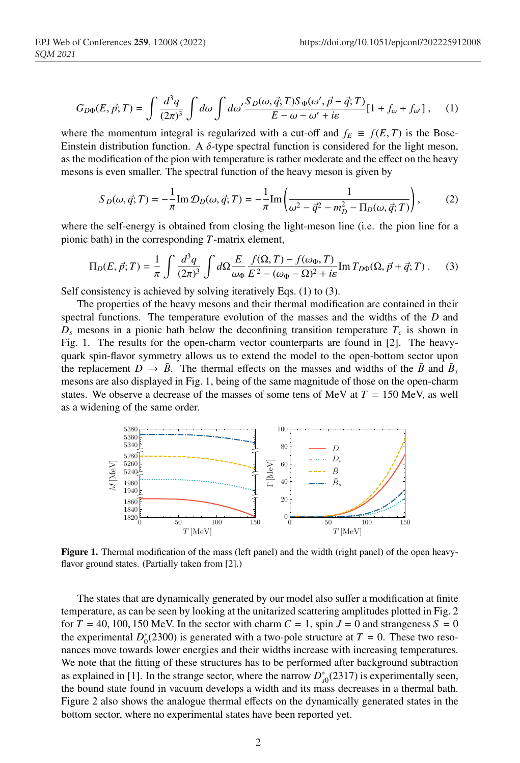$$
G_{D\Phi}(E, \vec{p}; T) = \int \frac{d^3q}{(2\pi)^3} \int d\omega \int d\omega' \frac{S_D(\omega, \vec{q}; T) S_{\Phi}(\omega', \vec{p} - \vec{q}; T)}{E - \omega - \omega' + i\varepsilon} [1 + f_{\omega} + f_{\omega'}], \quad (1)
$$

where the momentum integral is regularized with a cut-off and  $f_E \equiv f(E, T)$  is the Bose-Einstein distribution function. A  $\delta$ -type spectral function is considered for the light meson, as the modification of the pion with temperature is rather moderate and the effect on the heavy mesons is even smaller. The spectral function of the heavy meson is given by

$$
S_D(\omega, \vec{q}; T) = -\frac{1}{\pi} \text{Im } \mathcal{D}_D(\omega, \vec{q}; T) = -\frac{1}{\pi} \text{Im} \left( \frac{1}{\omega^2 - \vec{q}^2 - m_D^2 - \Pi_D(\omega, \vec{q}; T)} \right), \tag{2}
$$

where the self-energy is obtained from closing the light-meson line (i.e. the pion line for a pionic bath) in the corresponding *T*-matrix element,

$$
\Pi_D(E, \vec{p}; T) = \frac{1}{\pi} \int \frac{d^3q}{(2\pi)^3} \int d\Omega \frac{E}{\omega_\Phi} \frac{f(\Omega, T) - f(\omega_\Phi, T)}{E^2 - (\omega_\Phi - \Omega)^2 + i\epsilon} \text{Im} \, T_{D\Phi}(\Omega, \vec{p} + \vec{q}; T) \,. \tag{3}
$$

Self consistency is achieved by solving iteratively Eqs. (1) to (3).

The properties of the heavy mesons and their thermal modification are contained in their spectral functions. The temperature evolution of the masses and the widths of the *D* and  $D<sub>s</sub>$  mesons in a pionic bath below the deconfining transition temperature  $T<sub>c</sub>$  is shown in Fig. 1. The results for the open-charm vector counterparts are found in [2]. The heavyquark spin-flavor symmetry allows us to extend the model to the open-bottom sector upon the replacement  $D \to \bar{B}$ . The thermal effects on the masses and widths of the  $\bar{B}$  and  $\bar{B}_s$ mesons are also displayed in Fig. 1, being of the same magnitude of those on the open-charm states. We observe a decrease of the masses of some tens of MeV at  $T = 150$  MeV, as well as a widening of the same order.



Figure 1. Thermal modification of the mass (left panel) and the width (right panel) of the open heavyflavor ground states. (Partially taken from [2].)

The states that are dynamically generated by our model also suffer a modification at finite temperature, as can be seen by looking at the unitarized scattering amplitudes plotted in Fig. 2 for  $T = 40, 100, 150$  MeV. In the sector with charm  $C = 1$ , spin  $J = 0$  and strangeness  $S = 0$ the experimental  $D_0^*(2300)$  is generated with a two-pole structure at  $T = 0$ . These two resonances move towards lower energies and their widths increase with increasing temperatures. We note that the fitting of these structures has to be performed after background subtraction as explained in [1]. In the strange sector, where the narrow  $D_{s0}^{*}(2317)$  is experimentally seen, the bound state found in vacuum develops a width and its mass decreases in a thermal bath. Figure 2 also shows the analogue thermal effects on the dynamically generated states in the bottom sector, where no experimental states have been reported yet.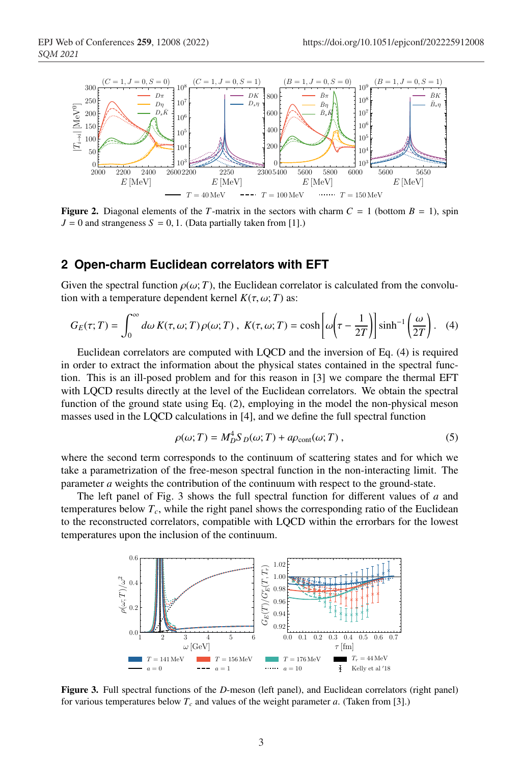

Figure 2. Diagonal elements of the *T*-matrix in the sectors with charm  $C = 1$  (bottom  $B = 1$ ), spin  $J = 0$  and strangeness  $S = 0, 1$ . (Data partially taken from [1].)

## **2 Open-charm Euclidean correlators with EFT**

Given the spectral function  $\rho(\omega; T)$ , the Euclidean correlator is calculated from the convolution with a temperature dependent kernel  $K(\tau, \omega; T)$  as:

$$
G_E(\tau;T) = \int_0^\infty d\omega \, K(\tau,\omega;T) \, \rho(\omega;T) \, , \, K(\tau,\omega;T) = \cosh\left[\omega\left(\tau - \frac{1}{2T}\right)\right] \sinh^{-1}\left(\frac{\omega}{2T}\right). \tag{4}
$$

Euclidean correlators are computed with LQCD and the inversion of Eq. (4) is required in order to extract the information about the physical states contained in the spectral function. This is an ill-posed problem and for this reason in [3] we compare the thermal EFT with LQCD results directly at the level of the Euclidean correlators. We obtain the spectral function of the ground state using Eq. (2), employing in the model the non-physical meson masses used in the LQCD calculations in [4], and we define the full spectral function

$$
\rho(\omega;T) = M_D^4 S_D(\omega;T) + a\rho_{\text{cont}}(\omega;T) ,\qquad (5)
$$

where the second term corresponds to the continuum of scattering states and for which we take a parametrization of the free-meson spectral function in the non-interacting limit. The parameter *a* weights the contribution of the continuum with respect to the ground-state.

The left panel of Fig. 3 shows the full spectral function for different values of *a* and temperatures below  $T_c$ , while the right panel shows the corresponding ratio of the Euclidean to the reconstructed correlators, compatible with LQCD within the errorbars for the lowest temperatures upon the inclusion of the continuum.



Figure 3. Full spectral functions of the *D*-meson (left panel), and Euclidean correlators (right panel) for various temperatures below  $T_c$  and values of the weight parameter *a*. (Taken from [3].)